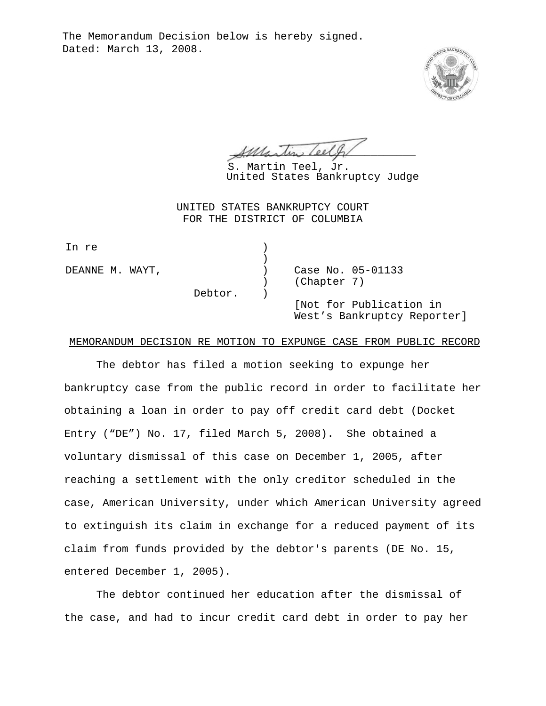The Memorandum Decision below is hereby signed. Dated: March 13, 2008.



 $\mathcal{A}\mathcal{M}\mathcal{L}\sim\mathcal{L}\sim\mathcal{L}\mathcal{L}\mathcal{H}$ 

S. Martin Teel, Jr. United States Bankruptcy Judge

UNITED STATES BANKRUPTCY COURT FOR THE DISTRICT OF COLUMBIA

|                            | Case No. 05-01133                                      |
|----------------------------|--------------------------------------------------------|
| DEANNE M. WAYT,<br>Debtor. | (Chapter 7)                                            |
|                            |                                                        |
|                            | [Not for Publication in<br>West's Bankruptcy Reporter] |
|                            |                                                        |

## MEMORANDUM DECISION RE MOTION TO EXPUNGE CASE FROM PUBLIC RECORD

The debtor has filed a motion seeking to expunge her bankruptcy case from the public record in order to facilitate her obtaining a loan in order to pay off credit card debt (Docket Entry ("DE") No. 17, filed March 5, 2008). She obtained a voluntary dismissal of this case on December 1, 2005, after reaching a settlement with the only creditor scheduled in the case, American University, under which American University agreed to extinguish its claim in exchange for a reduced payment of its claim from funds provided by the debtor's parents (DE No. 15, entered December 1, 2005).

The debtor continued her education after the dismissal of the case, and had to incur credit card debt in order to pay her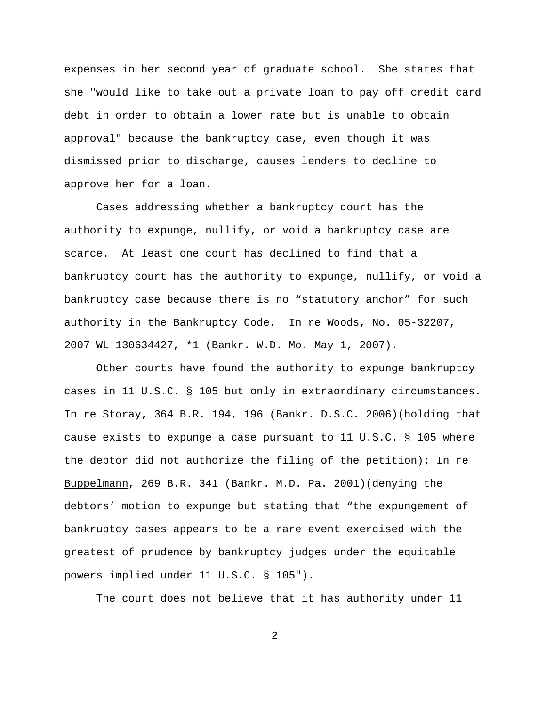expenses in her second year of graduate school. She states that she "would like to take out a private loan to pay off credit card debt in order to obtain a lower rate but is unable to obtain approval" because the bankruptcy case, even though it was dismissed prior to discharge, causes lenders to decline to approve her for a loan.

Cases addressing whether a bankruptcy court has the authority to expunge, nullify, or void a bankruptcy case are scarce. At least one court has declined to find that a bankruptcy court has the authority to expunge, nullify, or void a bankruptcy case because there is no "statutory anchor" for such authority in the Bankruptcy Code. In re Woods, No. 05-32207, 2007 WL 130634427, \*1 (Bankr. W.D. Mo. May 1, 2007).

Other courts have found the authority to expunge bankruptcy cases in 11 U.S.C. § 105 but only in extraordinary circumstances. In re Storay, 364 B.R. 194, 196 (Bankr. D.S.C. 2006)(holding that cause exists to expunge a case pursuant to 11 U.S.C. § 105 where the debtor did not authorize the filing of the petition); In re Buppelmann, 269 B.R. 341 (Bankr. M.D. Pa. 2001)(denying the debtors' motion to expunge but stating that "the expungement of bankruptcy cases appears to be a rare event exercised with the greatest of prudence by bankruptcy judges under the equitable powers implied under 11 U.S.C. § 105").

The court does not believe that it has authority under 11

2